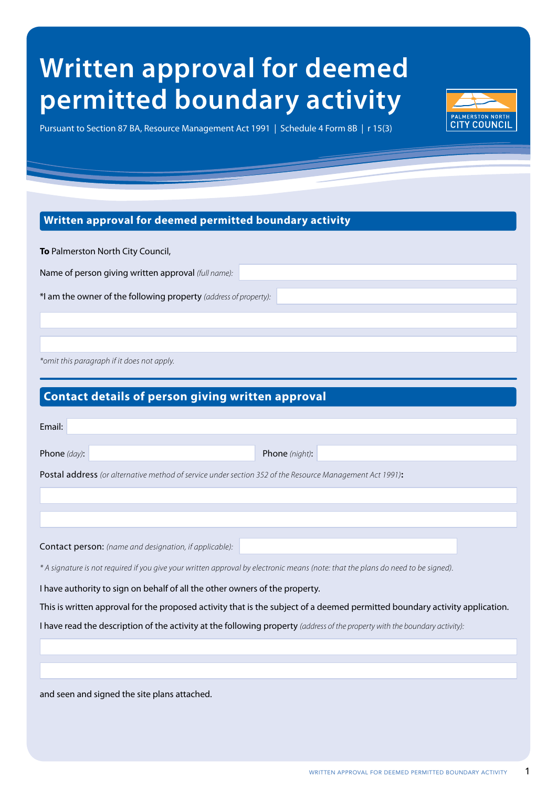# **Written approval for deemed permitted boundary activity**

Pursuant to Section 87 BA, Resource Management Act 1991 | Schedule 4 Form 8B | r 15(3)

## **Written approval for deemed permitted boundary activity**

**To** Palmerston North City Council, Name of person giving written approval *(full name):* \*I am the owner of the following property *(address of property):* 

*\*omit this paragraph if it does not apply.*

| <b>Contact details of person giving written approval</b>                                                                         |
|----------------------------------------------------------------------------------------------------------------------------------|
| Email:                                                                                                                           |
| Phone (night):<br>Phone (day):                                                                                                   |
| <b>Postal address</b> (or alternative method of service under section 352 of the Resource Management Act 1991):                  |
|                                                                                                                                  |
|                                                                                                                                  |
| Contact person: (name and designation, if applicable):                                                                           |
| * A signature is not required if you give your written approval by electronic means (note: that the plans do need to be signed). |
| I have authority to sign on behalf of all the other owners of the property.                                                      |
| This is written approval for the proposed activity that is the subject of a deemed permitted boundary activity application.      |
| I have read the description of the activity at the following property (address of the property with the boundary activity):      |
|                                                                                                                                  |
|                                                                                                                                  |
| and seen and signed the site plans attached.                                                                                     |

**PALMERSTON NORTH**<br>**CITY COUNCIL**